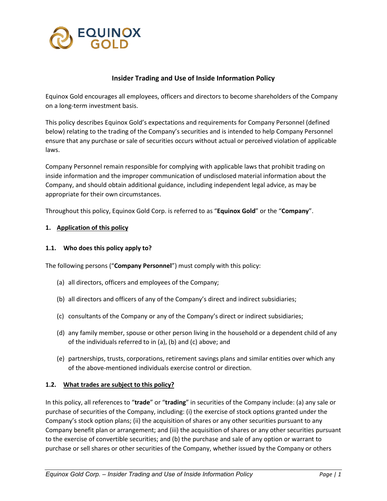

#### **Insider Trading and Use of Inside Information Policy**

Equinox Gold encourages all employees, officers and directors to become shareholders of the Company on a long-term investment basis.

This policy describes Equinox Gold's expectations and requirements for Company Personnel (defined below) relating to the trading of the Company's securities and is intended to help Company Personnel ensure that any purchase or sale of securities occurs without actual or perceived violation of applicable laws.

Company Personnel remain responsible for complying with applicable laws that prohibit trading on inside information and the improper communication of undisclosed material information about the Company, and should obtain additional guidance, including independent legal advice, as may be appropriate for their own circumstances.

Throughout this policy, Equinox Gold Corp. is referred to as "**Equinox Gold**" or the "**Company**".

#### **1. Application of this policy**

#### **1.1. Who does this policy apply to?**

The following persons ("**Company Personnel**") must comply with this policy:

- (a) all directors, officers and employees of the Company;
- (b) all directors and officers of any of the Company's direct and indirect subsidiaries;
- (c) consultants of the Company or any of the Company's direct or indirect subsidiaries;
- (d) any family member, spouse or other person living in the household or a dependent child of any of the individuals referred to in (a), (b) and (c) above; and
- (e) partnerships, trusts, corporations, retirement savings plans and similar entities over which any of the above-mentioned individuals exercise control or direction.

#### **1.2. What trades are subject to this policy?**

In this policy, all references to "**trade**" or "**trading**" in securities of the Company include: (a) any sale or purchase of securities of the Company, including: (i) the exercise of stock options granted under the Company's stock option plans; (ii) the acquisition of shares or any other securities pursuant to any Company benefit plan or arrangement; and (iii) the acquisition of shares or any other securities pursuant to the exercise of convertible securities; and (b) the purchase and sale of any option or warrant to purchase or sell shares or other securities of the Company, whether issued by the Company or others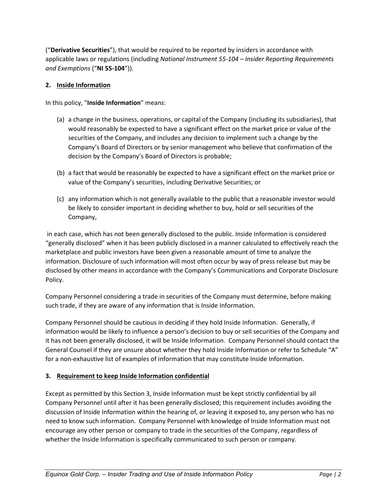("**Derivative Securities**"), that would be required to be reported by insiders in accordance with applicable laws or regulations (including *National Instrument 55-104 – Insider Reporting Requirements and Exemptions* ("**NI 55-104**")).

### **2. Inside Information**

In this policy, "**Inside Information**" means:

- (a) a change in the business, operations, or capital of the Company (including its subsidiaries), that would reasonably be expected to have a significant effect on the market price or value of the securities of the Company, and includes any decision to implement such a change by the Company's Board of Directors or by senior management who believe that confirmation of the decision by the Company's Board of Directors is probable;
- (b) a fact that would be reasonably be expected to have a significant effect on the market price or value of the Company's securities, including Derivative Securities; or
- (c) any information which is not generally available to the public that a reasonable investor would be likely to consider important in deciding whether to buy, hold or sell securities of the Company,

in each case, which has not been generally disclosed to the public. Inside Information is considered "generally disclosed" when it has been publicly disclosed in a manner calculated to effectively reach the marketplace and public investors have been given a reasonable amount of time to analyze the information. Disclosure of such information will most often occur by way of press release but may be disclosed by other means in accordance with the Company's Communications and Corporate Disclosure Policy.

Company Personnel considering a trade in securities of the Company must determine, before making such trade, if they are aware of any information that is Inside Information.

Company Personnel should be cautious in deciding if they hold Inside Information. Generally, if information would be likely to influence a person's decision to buy or sell securities of the Company and it has not been generally disclosed, it will be Inside Information. Company Personnel should contact the General Counsel if they are unsure about whether they hold Inside Information or refer to Schedule "A" for a non-exhaustive list of examples of information that may constitute Inside Information.

## <span id="page-1-0"></span>**3. Requirement to keep Inside Information confidential**

Except as permitted by this Section [3,](#page-1-0) Inside Information must be kept strictly confidential by all Company Personnel until after it has been generally disclosed; this requirement includes avoiding the discussion of Inside Information within the hearing of, or leaving it exposed to, any person who has no need to know such information. Company Personnel with knowledge of Inside Information must not encourage any other person or company to trade in the securities of the Company, regardless of whether the Inside Information is specifically communicated to such person or company.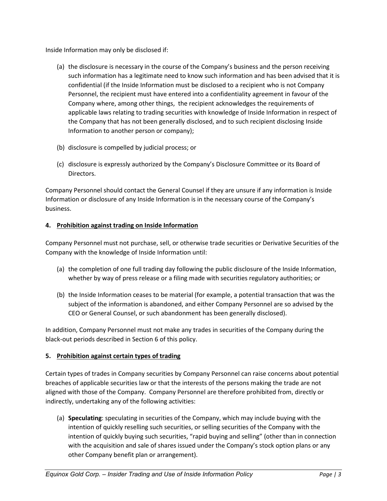Inside Information may only be disclosed if:

- (a) the disclosure is necessary in the course of the Company's business and the person receiving such information has a legitimate need to know such information and has been advised that it is confidential (if the Inside Information must be disclosed to a recipient who is not Company Personnel, the recipient must have entered into a confidentiality agreement in favour of the Company where, among other things, the recipient acknowledges the requirements of applicable laws relating to trading securities with knowledge of Inside Information in respect of the Company that has not been generally disclosed, and to such recipient disclosing Inside Information to another person or company);
- (b) disclosure is compelled by judicial process; or
- (c) disclosure is expressly authorized by the Company's Disclosure Committee or its Board of Directors.

Company Personnel should contact the General Counsel if they are unsure if any information is Inside Information or disclosure of any Inside Information is in the necessary course of the Company's business.

#### **4. Prohibition against trading on Inside Information**

Company Personnel must not purchase, sell, or otherwise trade securities or Derivative Securities of the Company with the knowledge of Inside Information until:

- (a) the completion of one full trading day following the public disclosure of the Inside Information, whether by way of press release or a filing made with securities regulatory authorities; or
- (b) the Inside Information ceases to be material (for example, a potential transaction that was the subject of the information is abandoned, and either Company Personnel are so advised by the CEO or General Counsel, or such abandonment has been generally disclosed).

In addition, Company Personnel must not make any trades in securities of the Company during the black-out periods described in Sectio[n 6](#page-3-0) of this policy.

#### **5. Prohibition against certain types of trading**

Certain types of trades in Company securities by Company Personnel can raise concerns about potential breaches of applicable securities law or that the interests of the persons making the trade are not aligned with those of the Company. Company Personnel are therefore prohibited from, directly or indirectly, undertaking any of the following activities:

(a) **Speculating**: speculating in securities of the Company, which may include buying with the intention of quickly reselling such securities, or selling securities of the Company with the intention of quickly buying such securities, "rapid buying and selling" (other than in connection with the acquisition and sale of shares issued under the Company's stock option plans or any other Company benefit plan or arrangement).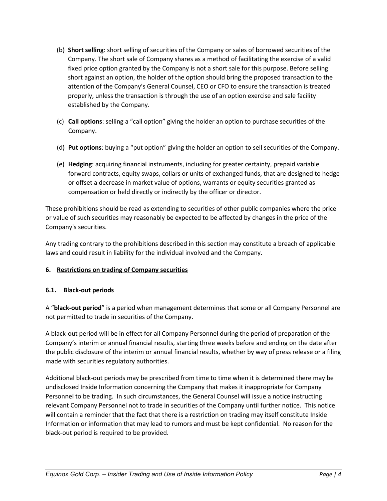- (b) **Short selling**: short selling of securities of the Company or sales of borrowed securities of the Company. The short sale of Company shares as a method of facilitating the exercise of a valid fixed price option granted by the Company is not a short sale for this purpose. Before selling short against an option, the holder of the option should bring the proposed transaction to the attention of the Company's General Counsel, CEO or CFO to ensure the transaction is treated properly, unless the transaction is through the use of an option exercise and sale facility established by the Company.
- (c) **Call options**: selling a "call option" giving the holder an option to purchase securities of the Company.
- (d) **Put options**: buying a "put option" giving the holder an option to sell securities of the Company.
- (e) **Hedging**: acquiring financial instruments, including for greater certainty, prepaid variable forward contracts, equity swaps, collars or units of exchanged funds, that are designed to hedge or offset a decrease in market value of options, warrants or equity securities granted as compensation or held directly or indirectly by the officer or director.

These prohibitions should be read as extending to securities of other public companies where the price or value of such securities may reasonably be expected to be affected by changes in the price of the Company's securities.

Any trading contrary to the prohibitions described in this section may constitute a breach of applicable laws and could result in liability for the individual involved and the Company.

## <span id="page-3-0"></span>**6. Restrictions on trading of Company securities**

## **6.1. Black-out periods**

A "**black-out period**" is a period when management determines that some or all Company Personnel are not permitted to trade in securities of the Company.

A black-out period will be in effect for all Company Personnel during the period of preparation of the Company's interim or annual financial results, starting three weeks before and ending on the date after the public disclosure of the interim or annual financial results, whether by way of press release or a filing made with securities regulatory authorities.

Additional black-out periods may be prescribed from time to time when it is determined there may be undisclosed Inside Information concerning the Company that makes it inappropriate for Company Personnel to be trading. In such circumstances, the General Counsel will issue a notice instructing relevant Company Personnel not to trade in securities of the Company until further notice. This notice will contain a reminder that the fact that there is a restriction on trading may itself constitute Inside Information or information that may lead to rumors and must be kept confidential. No reason for the black-out period is required to be provided.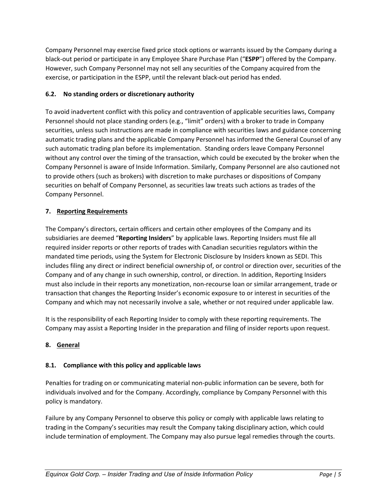Company Personnel may exercise fixed price stock options or warrants issued by the Company during a black-out period or participate in any Employee Share Purchase Plan ("**ESPP**") offered by the Company. However, such Company Personnel may not sell any securities of the Company acquired from the exercise, or participation in the ESPP, until the relevant black-out period has ended.

# **6.2. No standing orders or discretionary authority**

To avoid inadvertent conflict with this policy and contravention of applicable securities laws, Company Personnel should not place standing orders (e.g., "limit" orders) with a broker to trade in Company securities, unless such instructions are made in compliance with securities laws and guidance concerning automatic trading plans and the applicable Company Personnel has informed the General Counsel of any such automatic trading plan before its implementation. Standing orders leave Company Personnel without any control over the timing of the transaction, which could be executed by the broker when the Company Personnel is aware of Inside Information. Similarly, Company Personnel are also cautioned not to provide others (such as brokers) with discretion to make purchases or dispositions of Company securities on behalf of Company Personnel, as securities law treats such actions as trades of the Company Personnel.

# **7. Reporting Requirements**

The Company's directors, certain officers and certain other employees of the Company and its subsidiaries are deemed "**Reporting Insiders**" by applicable laws. Reporting Insiders must file all required insider reports or other reports of trades with Canadian securities regulators within the mandated time periods, using the System for Electronic Disclosure by Insiders known as SEDI. This includes filing any direct or indirect beneficial ownership of, or control or direction over, securities of the Company and of any change in such ownership, control, or direction. In addition, Reporting Insiders must also include in their reports any monetization, non-recourse loan or similar arrangement, trade or transaction that changes the Reporting Insider's economic exposure to or interest in securities of the Company and which may not necessarily involve a sale, whether or not required under applicable law.

It is the responsibility of each Reporting Insider to comply with these reporting requirements. The Company may assist a Reporting Insider in the preparation and filing of insider reports upon request.

# **8. General**

# **8.1. Compliance with this policy and applicable laws**

Penalties for trading on or communicating material non-public information can be severe, both for individuals involved and for the Company. Accordingly, compliance by Company Personnel with this policy is mandatory.

Failure by any Company Personnel to observe this policy or comply with applicable laws relating to trading in the Company's securities may result the Company taking disciplinary action, which could include termination of employment. The Company may also pursue legal remedies through the courts.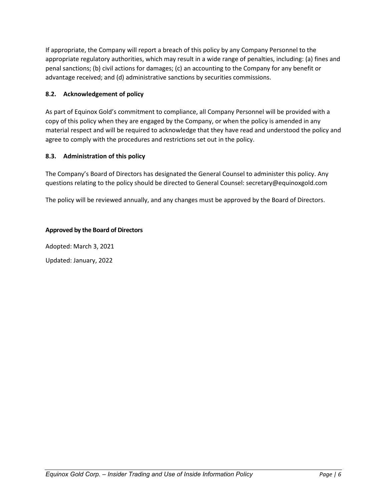If appropriate, the Company will report a breach of this policy by any Company Personnel to the appropriate regulatory authorities, which may result in a wide range of penalties, including: (a) fines and penal sanctions; (b) civil actions for damages; (c) an accounting to the Company for any benefit or advantage received; and (d) administrative sanctions by securities commissions.

### **8.2. Acknowledgement of policy**

As part of Equinox Gold's commitment to compliance, all Company Personnel will be provided with a copy of this policy when they are engaged by the Company, or when the policy is amended in any material respect and will be required to acknowledge that they have read and understood the policy and agree to comply with the procedures and restrictions set out in the policy.

#### **8.3. Administration of this policy**

The Company's Board of Directors has designated the General Counsel to administer this policy. Any questions relating to the policy should be directed to General Counsel: secretary@equinoxgold.com

The policy will be reviewed annually, and any changes must be approved by the Board of Directors.

#### **Approved by the Board of Directors**

Adopted: March 3, 2021

Updated: January, 2022